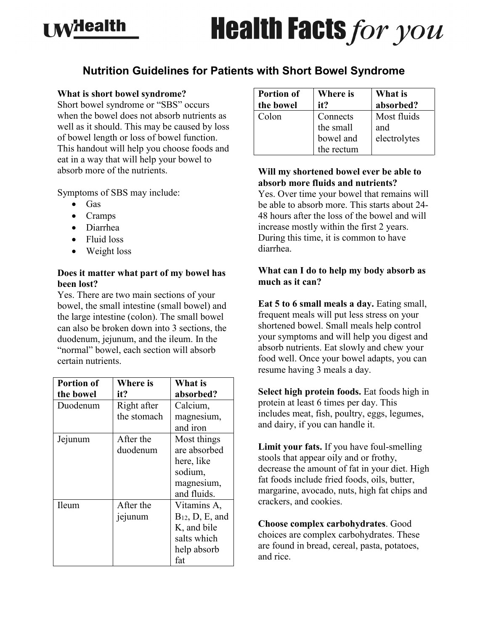## **I Milealth**

# **Health Facts for you**

### **Nutrition Guidelines for Patients with Short Bowel Syndrome**

#### **What is short bowel syndrome?**

Short bowel syndrome or "SBS" occurs when the bowel does not absorb nutrients as well as it should. This may be caused by loss of bowel length or loss of bowel function. This handout will help you choose foods and eat in a way that will help your bowel to absorb more of the nutrients.

Symptoms of SBS may include:

- Gas
- Cramps
- Diarrhea
- Fluid loss
- Weight loss

#### **Does it matter what part of my bowel has been lost?**

Yes. There are two main sections of your bowel, the small intestine (small bowel) and the large intestine (colon). The small bowel can also be broken down into 3 sections, the duodenum, jejunum, and the ileum. In the "normal" bowel, each section will absorb certain nutrients.

| <b>Portion of</b> | <b>Where</b> is | What is              |
|-------------------|-----------------|----------------------|
| the bowel         | it?             | absorbed?            |
| Duodenum          | Right after     | Calcium,             |
|                   | the stomach     | magnesium,           |
|                   |                 | and iron             |
| Jejunum           | After the       | Most things          |
|                   | duodenum        | are absorbed         |
|                   |                 | here, like           |
|                   |                 | sodium,              |
|                   |                 | magnesium,           |
|                   |                 | and fluids.          |
| Ileum             | After the       | Vitamins A,          |
|                   | jejunum         | $B_{12}$ , D, E, and |
|                   |                 | K, and bile          |
|                   |                 | salts which          |
|                   |                 | help absorb          |
|                   |                 | fat                  |

| <b>Portion of</b> | <b>Where is</b> | What is      |
|-------------------|-----------------|--------------|
| the bowel         | it?             | absorbed?    |
| Colon             | Connects        | Most fluids  |
|                   | the small       | and          |
|                   | bowel and       | electrolytes |
|                   | the rectum      |              |

#### **Will my shortened bowel ever be able to absorb more fluids and nutrients?**

Yes. Over time your bowel that remains will be able to absorb more. This starts about 24- 48 hours after the loss of the bowel and will increase mostly within the first 2 years. During this time, it is common to have diarrhea.

#### **What can I do to help my body absorb as much as it can?**

**Eat 5 to 6 small meals a day.** Eating small, frequent meals will put less stress on your shortened bowel. Small meals help control your symptoms and will help you digest and absorb nutrients. Eat slowly and chew your food well. Once your bowel adapts, you can resume having 3 meals a day.

**Select high protein foods.** Eat foods high in protein at least 6 times per day. This includes meat, fish, poultry, eggs, legumes, and dairy, if you can handle it.

**Limit your fats.** If you have foul-smelling stools that appear oily and or frothy, decrease the amount of fat in your diet. High fat foods include fried foods, oils, butter, margarine, avocado, nuts, high fat chips and crackers, and cookies.

**Choose complex carbohydrates**. Good choices are complex carbohydrates. These are found in bread, cereal, pasta, potatoes, and rice.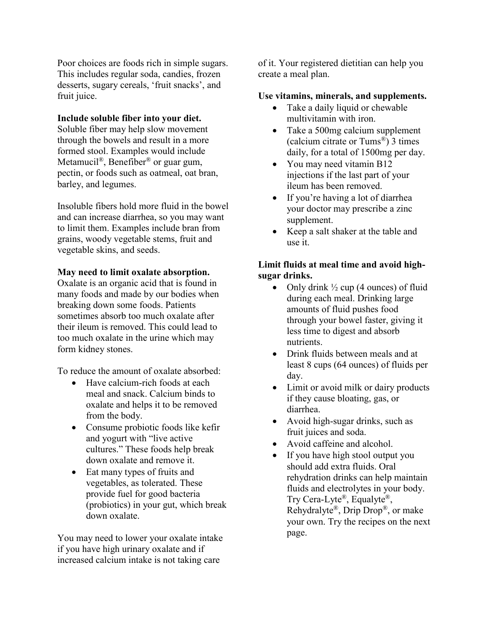Poor choices are foods rich in simple sugars. This includes regular soda, candies, frozen desserts, sugary cereals, 'fruit snacks', and fruit juice.

#### **Include soluble fiber into your diet.**

Soluble fiber may help slow movement through the bowels and result in a more formed stool. Examples would include Metamucil<sup>®</sup>, Benefiber<sup>®</sup> or guar gum, pectin, or foods such as oatmeal, oat bran, barley, and legumes.

Insoluble fibers hold more fluid in the bowel and can increase diarrhea, so you may want to limit them. Examples include bran from grains, woody vegetable stems, fruit and vegetable skins, and seeds.

#### **May need to limit oxalate absorption.**

Oxalate is an organic acid that is found in many foods and made by our bodies when breaking down some foods. Patients sometimes absorb too much oxalate after their ileum is removed. This could lead to too much oxalate in the urine which may form kidney stones.

To reduce the amount of oxalate absorbed:

- Have calcium-rich foods at each meal and snack. Calcium binds to oxalate and helps it to be removed from the body.
- Consume probiotic foods like kefir and yogurt with "live active cultures." These foods help break down oxalate and remove it.
- Eat many types of fruits and vegetables, as tolerated. These provide fuel for good bacteria (probiotics) in your gut, which break down oxalate.

You may need to lower your oxalate intake if you have high urinary oxalate and if increased calcium intake is not taking care

of it. Your registered dietitian can help you create a meal plan.

#### **Use vitamins, minerals, and supplements.**

- Take a daily liquid or chewable multivitamin with iron.
- Take a 500mg calcium supplement (calcium citrate or Tums®) 3 times daily, for a total of 1500mg per day.
- You may need vitamin B12 injections if the last part of your ileum has been removed.
- If you're having a lot of diarrhea your doctor may prescribe a zinc supplement.
- Keep a salt shaker at the table and use it.

#### **Limit fluids at meal time and avoid highsugar drinks.**

- Only drink  $\frac{1}{2}$  cup (4 ounces) of fluid during each meal. Drinking large amounts of fluid pushes food through your bowel faster, giving it less time to digest and absorb nutrients.
- Drink fluids between meals and at least 8 cups (64 ounces) of fluids per day.
- Limit or avoid milk or dairy products if they cause bloating, gas, or diarrhea.
- Avoid high-sugar drinks, such as fruit juices and soda.
- Avoid caffeine and alcohol.
- If you have high stool output you should add extra fluids. Oral rehydration drinks can help maintain fluids and electrolytes in your body. Try Cera-Lyte®, Equalyte®, Rehydralyte®, Drip Drop®, or make your own. Try the recipes on the next page.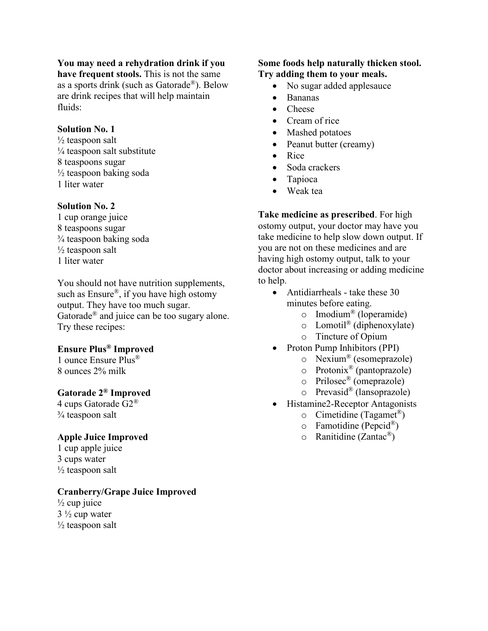#### **You may need a rehydration drink if you**

**have frequent stools.** This is not the same as a sports drink (such as Gatorade®). Below are drink recipes that will help maintain fluids:

#### **Solution No. 1**

 $\frac{1}{2}$  teaspoon salt  $\frac{1}{4}$  teaspoon salt substitute 8 teaspoons sugar  $\frac{1}{2}$  teaspoon baking soda 1 liter water

#### **Solution No. 2**

1 cup orange juice 8 teaspoons sugar ¾ teaspoon baking soda  $\frac{1}{2}$  teaspoon salt 1 liter water

You should not have nutrition supplements, such as Ensure®, if you have high ostomy output. They have too much sugar. Gatorade® and juice can be too sugary alone. Try these recipes:

#### **Ensure Plus® Improved**

1 ounce Ensure Plus® 8 ounces 2% milk

#### **Gatorade 2® Improved**

4 cups Gatorade G2® ¾ teaspoon salt

#### **Apple Juice Improved**

1 cup apple juice 3 cups water  $\frac{1}{2}$  teaspoon salt

#### **Cranberry/Grape Juice Improved**

 $\frac{1}{2}$  cup juice  $3\frac{1}{2}$  cup water  $\frac{1}{2}$  teaspoon salt

#### **Some foods help naturally thicken stool. Try adding them to your meals.**

- No sugar added applesauce
- Bananas
- Cheese
- Cream of rice
- Mashed potatoes
- Peanut butter (creamy)
- Rice
- Soda crackers
- Tapioca
- Weak tea

**Take medicine as prescribed**. For high ostomy output, your doctor may have you take medicine to help slow down output. If you are not on these medicines and are having high ostomy output, talk to your doctor about increasing or adding medicine to help.

- Antidiarrheals take these 30 minutes before eating.
	- o Imodium® (loperamide)
	- $\circ$  Lomotil<sup>®</sup> (diphenoxylate)
	- o Tincture of Opium
- Proton Pump Inhibitors (PPI)
	- o Nexium® (esomeprazole)
	- $\circ$  Protonix<sup>®</sup> (pantoprazole)
	- o Prilosec® (omeprazole)
	- o Prevasid® (lansoprazole)
- Histamine2-Receptor Antagonists
	- o Cimetidine (Tagamet ®)
	- $\circ$  Famotidine (Pepcid®)
	- o Ranitidine (Zantac®)